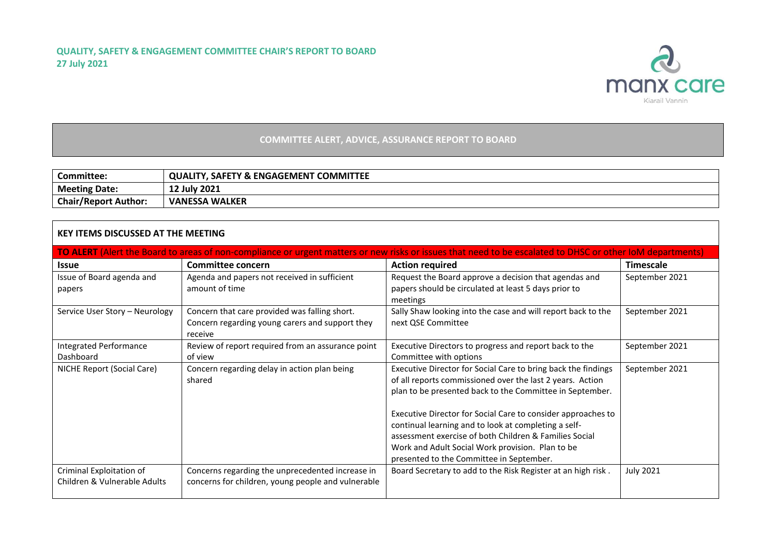

## **COMMITTEE ALERT, ADVICE, ASSURANCE REPORT TO BOARD**

| Committee:                  | <b>COMMITTEE</b><br>. SAFETY & ENGAGEMENT (<br><b>QUALITY.</b> |
|-----------------------------|----------------------------------------------------------------|
| <b>Meeting Date:</b>        | 12 July 2021                                                   |
| <b>Chair/Report Author:</b> | <b>VANESSA WALKER</b>                                          |

## **KEY ITEMS DISCUSSED AT THE MEETING**

| TO ALERT (Alert the Board to areas of non-compliance or urgent matters or new risks or issues that need to be escalated to DHSC or other IoM departments) |                                                    |                                                               |                  |  |  |  |  |  |
|-----------------------------------------------------------------------------------------------------------------------------------------------------------|----------------------------------------------------|---------------------------------------------------------------|------------------|--|--|--|--|--|
| <b>Issue</b>                                                                                                                                              | Committee concern                                  | <b>Action required</b>                                        | Timescale        |  |  |  |  |  |
| Issue of Board agenda and                                                                                                                                 | Agenda and papers not received in sufficient       | Request the Board approve a decision that agendas and         | September 2021   |  |  |  |  |  |
| papers                                                                                                                                                    | amount of time                                     | papers should be circulated at least 5 days prior to          |                  |  |  |  |  |  |
|                                                                                                                                                           |                                                    | meetings                                                      |                  |  |  |  |  |  |
| Service User Story - Neurology                                                                                                                            | Concern that care provided was falling short.      | Sally Shaw looking into the case and will report back to the  | September 2021   |  |  |  |  |  |
|                                                                                                                                                           | Concern regarding young carers and support they    | next QSE Committee                                            |                  |  |  |  |  |  |
|                                                                                                                                                           | receive                                            |                                                               |                  |  |  |  |  |  |
| <b>Integrated Performance</b>                                                                                                                             | Review of report required from an assurance point  | Executive Directors to progress and report back to the        | September 2021   |  |  |  |  |  |
| Dashboard                                                                                                                                                 | of view                                            | Committee with options                                        |                  |  |  |  |  |  |
| NICHE Report (Social Care)                                                                                                                                | Concern regarding delay in action plan being       | Executive Director for Social Care to bring back the findings | September 2021   |  |  |  |  |  |
|                                                                                                                                                           | shared                                             | of all reports commissioned over the last 2 years. Action     |                  |  |  |  |  |  |
|                                                                                                                                                           |                                                    | plan to be presented back to the Committee in September.      |                  |  |  |  |  |  |
|                                                                                                                                                           |                                                    | Executive Director for Social Care to consider approaches to  |                  |  |  |  |  |  |
|                                                                                                                                                           |                                                    | continual learning and to look at completing a self-          |                  |  |  |  |  |  |
|                                                                                                                                                           |                                                    | assessment exercise of both Children & Families Social        |                  |  |  |  |  |  |
|                                                                                                                                                           |                                                    | Work and Adult Social Work provision. Plan to be              |                  |  |  |  |  |  |
|                                                                                                                                                           |                                                    | presented to the Committee in September.                      |                  |  |  |  |  |  |
| Criminal Exploitation of                                                                                                                                  | Concerns regarding the unprecedented increase in   | Board Secretary to add to the Risk Register at an high risk.  | <b>July 2021</b> |  |  |  |  |  |
| Children & Vulnerable Adults                                                                                                                              | concerns for children, young people and vulnerable |                                                               |                  |  |  |  |  |  |
|                                                                                                                                                           |                                                    |                                                               |                  |  |  |  |  |  |